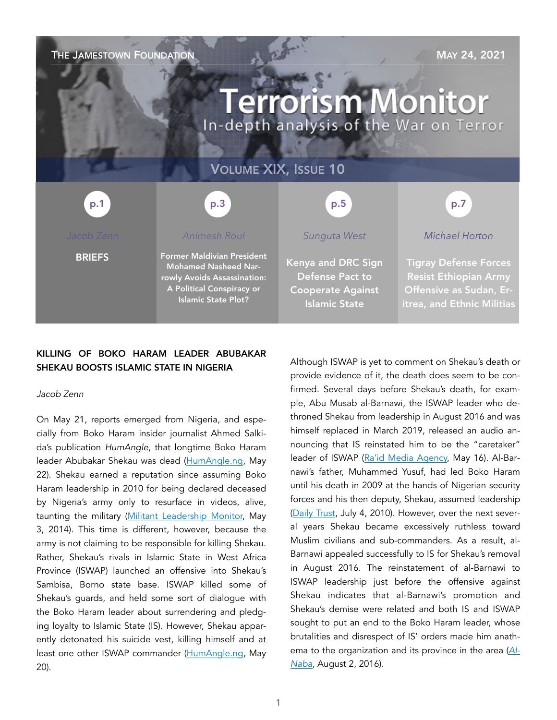THE JAMESTOWN FOUNDATION MAY 24, 2021 **Terrorism Monitor** In-depth analysis of the War on Terror VOLUME XIX, ISSUE 10 p.3 p.1 p.5 p.7*Animesh Roul Sunguta West Michael Horton*  Former Maldivian President **BRIEFS** Kenya and DRC Sign Tigray Defense Forces Mohamed Nasheed Nar-Defense Pact to Resist Ethiopian Army rowly Avoids Assassination: A Political Conspiracy or Cooperate Against Offensive as Sudan, Er-Islamic State Plot? Islamic State itrea, and Ethnic Militias

## KILLING OF BOKO HARAM LEADER ABUBAKAR SHEKAU BOOSTS ISLAMIC STATE IN NIGERIA

### *Jacob Zenn*

On May 21, reports emerged from Nigeria, and especially from Boko Haram insider journalist Ahmed Salkida's publication *HumAngle*, that longtime Boko Haram leader Abubakar Shekau was dead ([HumAngle.ng](https://humangle.ng/boko-haram-strongman-shekau-dead-as-iswap-fighters-capture-sambisa-forest/), May 22). Shekau earned a reputation since assuming Boko Haram leadership in 2010 for being declared deceased by Nigeria's army only to resurface in videos, alive, taunting the military [\(Militant Leadership Monitor,](https://jamestown.org/program/boko-haram-leader-abubakar-shekau-dead-deposed-or-duplicated/) May 3, 2014). This time is different, however, because the army is not claiming to be responsible for killing Shekau. Rather, Shekau's rivals in Islamic State in West Africa Province (ISWAP) launched an offensive into Shekau's Sambisa, Borno state base. ISWAP killed some of Shekau's guards, and held some sort of dialogue with the Boko Haram leader about surrendering and pledging loyalty to Islamic State (IS). However, Shekau apparently detonated his suicide vest, killing himself and at least one other ISWAP commander [\(HumAngle.ng,](https://humangle.ng/boko-haram-strongman-shekau-dead-as-iswap-fighters-capture-sambisa-forest/) May 20).

Although ISWAP is yet to comment on Shekau's death or provide evidence of it, the death does seem to be confirmed. Several days before Shekau's death, for example, Abu Musab al-Barnawi, the ISWAP leader who dethroned Shekau from leadership in August 2016 and was himself replaced in March 2019, released an audio announcing that IS reinstated him to be the "caretaker" leader of ISWAP [\(Ra'id Media Agency,](https://unmaskingbokoharam.com/2021/05/18/iswap-abu-musab-al-barnawi-le) May 16). Al-Barnawi's father, Muhammed Yusuf, had led Boko Haram until his death in 2009 at the hands of Nigerian security forces and his then deputy, Shekau, assumed leadership ([Daily Trust,](https://unmaskingbokoharam.com/2019/05/20/daily-trust-borno-shivers-over-threats-of-boko-harams-return-july-4-2010/) July 4, 2010). However, over the next several years Shekau became excessively ruthless toward Muslim civilians and sub-commanders. As a result, al-Barnawi appealed successfully to IS for Shekau's removal in August 2016. The reinstatement of al-Barnawi to ISWAP leadership just before the offensive against Shekau indicates that al-Barnawi's promotion and Shekau's demise were related and both IS and ISWAP sought to put an end to the Boko Haram leader, whose brutalities and disrespect of IS' orders made him anathema to the organization and its province in the area (*[Al-](https://unmaskingbokoharam.com/2019/04/10/the-islamic-state-al-naba-41-the-wali-of-west-africa-shaykh-abu-musab-al-barnawi-august-2-2016/)[Naba](https://unmaskingbokoharam.com/2019/04/10/the-islamic-state-al-naba-41-the-wali-of-west-africa-shaykh-abu-musab-al-barnawi-august-2-2016/)*, August 2, 2016).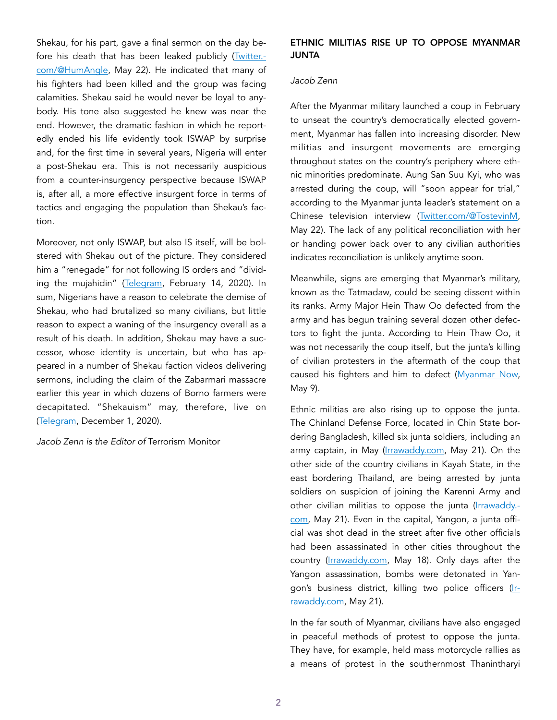Shekau, for his part, gave a final sermon on the day before his death that has been leaked publicly ([Twitter.](https://twitter.com/HumAngle_/status/1395794958775472128) [com/@HumAngle,](https://twitter.com/HumAngle_/status/1395794958775472128) May 22). He indicated that many of his fighters had been killed and the group was facing calamities. Shekau said he would never be loyal to anybody. His tone also suggested he knew was near the end. However, the dramatic fashion in which he reportedly ended his life evidently took ISWAP by surprise and, for the first time in several years, Nigeria will enter a post-Shekau era. This is not necessarily auspicious from a counter-insurgency perspective because ISWAP is, after all, a more effective insurgent force in terms of tactics and engaging the population than Shekau's faction.

Moreover, not only ISWAP, but also IS itself, will be bolstered with Shekau out of the picture. They considered him a "renegade" for not following IS orders and "dividing the mujahidin" ([Telegram](https://unmaskingbokoharam.com/2020/02/15/iswap-slay-them-wherever-you-catch-them-video-part-2-february-14-2020/), February 14, 2020). In sum, Nigerians have a reason to celebrate the demise of Shekau, who had brutalized so many civilians, but little reason to expect a waning of the insurgency overall as a result of his death. In addition, Shekau may have a successor, whose identity is uncertain, but who has appeared in a number of Shekau faction videos delivering sermons, including the claim of the Zabarmari massacre earlier this year in which dozens of Borno farmers were decapitated. "Shekauism" may, therefore, live on ([Telegram,](https://unmaskingbokoharam.com/2020/12/01/boko-haram-new-letter-claiming-zabarmari-massacre-video-december-1-2020/) December 1, 2020).

*Jacob Zenn is the Editor of* Terrorism Monitor

## ETHNIC MILITIAS RISE UP TO OPPOSE MYANMAR JUNTA

### *Jacob Zenn*

After the Myanmar military launched a coup in February to unseat the country's democratically elected government, Myanmar has fallen into increasing disorder. New militias and insurgent movements are emerging throughout states on the country's periphery where ethnic minorities predominate. Aung San Suu Kyi, who was arrested during the coup, will "soon appear for trial," according to the Myanmar junta leader's statement on a Chinese television interview [\(Twitter.com/@TostevinM](https://twitter.com/TostevinM/status/1396017865115856897), May 22). The lack of any political reconciliation with her or handing power back over to any civilian authorities indicates reconciliation is unlikely anytime soon.

Meanwhile, signs are emerging that Myanmar's military, known as the Tatmadaw, could be seeing dissent within its ranks. Army Major Hein Thaw Oo defected from the army and has begun training several dozen other defectors to fight the junta. According to Hein Thaw Oo, it was not necessarily the coup itself, but the junta's killing of civilian protesters in the aftermath of the coup that caused his fighters and him to defect ([Myanmar Now,](https://myanmar-now.org/en/news/major-who-defected-from-tatmadaw-begins-training-recruits-to-fight-coup-regime) May 9).

Ethnic militias are also rising up to oppose the junta. The Chinland Defense Force, located in Chin State bordering Bangladesh, killed six junta soldiers, including an army captain, in May [\(Irrawaddy.com](https://www.irrawaddy.com/news/burma/myanmar-regimes-army-captain-killed-among-others-resistance.html), May 21). On the other side of the country civilians in Kayah State, in the east bordering Thailand, are being arrested by junta soldiers on suspicion of joining the Karenni Army and other civilian militias to oppose the junta ([Irrawaddy.](https://www.irrawaddy.com/news/burma/ethnic-army-and-civilian-forces-battle-myanmar-regime-in-kayah-state.html) [com,](https://www.irrawaddy.com/news/burma/ethnic-army-and-civilian-forces-battle-myanmar-regime-in-kayah-state.html) May 21). Even in the capital, Yangon, a junta official was shot dead in the street after five other officials had been assassinated in other cities throughout the country ([Irrawaddy.com,](https://www.irrawaddy.com/news/burma/local-official-of-myanmar-regime-shot-dead-in-downtown-yangon.html) May 18). Only days after the Yangon assassination, bombs were detonated in Yan-gon's business district, killing two police officers ([Ir](https://twitter.com/sthk_94/status/1396224115049041921)[rawaddy.com](https://twitter.com/sthk_94/status/1396224115049041921), May 21).

In the far south of Myanmar, civilians have also engaged in peaceful methods of protest to oppose the junta. They have, for example, held mass motorcycle rallies as a means of protest in the southernmost Thanintharyi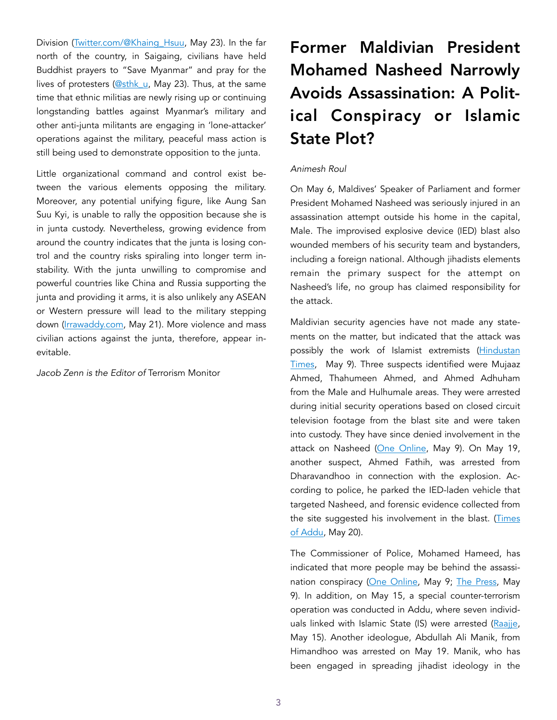Division [\(Twitter.com/@Khaing\\_Hsuu,](https://twitter.com/Khaing_Hsuu/status/1396225107819843586) May 23). In the far north of the country, in Saigaing, civilians have held Buddhist prayers to "Save Myanmar" and pray for the lives of protesters [\(@sthk\\_u,](https://twitter.com/sthk_94/status/1396224115049041921) May 23). Thus, at the same time that ethnic militias are newly rising up or continuing longstanding battles against Myanmar's military and other anti-junta militants are engaging in 'lone-attacker' operations against the military, peaceful mass action is still being used to demonstrate opposition to the junta.

Little organizational command and control exist between the various elements opposing the military. Moreover, any potential unifying figure, like Aung San Suu Kyi, is unable to rally the opposition because she is in junta custody. Nevertheless, growing evidence from around the country indicates that the junta is losing control and the country risks spiraling into longer term instability. With the junta unwilling to compromise and powerful countries like China and Russia supporting the junta and providing it arms, it is also unlikely any ASEAN or Western pressure will lead to the military stepping down ([Irrawaddy.com,](https://www.irrawaddy.com/news/burma/notorious-myanmar-arms-broker-joins-military-leaders-on-russia-trip.html) May 21). More violence and mass civilian actions against the junta, therefore, appear inevitable.

*Jacob Zenn is the Editor of* Terrorism Monitor

# Former Maldivian President Mohamed Nasheed Narrowly Avoids Assassination: A Political Conspiracy or Islamic State Plot?

### *Animesh Roul*

On May 6, Maldives' Speaker of Parliament and former President Mohamed Nasheed was seriously injured in an assassination attempt outside his home in the capital, Male. The improvised explosive device (IED) blast also wounded members of his security team and bystanders, including a foreign national. Although jihadists elements remain the primary suspect for the attempt on Nasheed's life, no group has claimed responsibility for the attack.

Maldivian security agencies have not made any statements on the matter, but indicated that the attack was possibly the work of Islamist extremists ([Hindustan](https://www.hindustantimes.com/world-news/bomb-attack-on-ex-maldives-president-linked-to-islamic-extremists-101620513691980.html) [Times,](https://www.hindustantimes.com/world-news/bomb-attack-on-ex-maldives-president-linked-to-islamic-extremists-101620513691980.html) May 9). Three suspects identified were Mujaaz Ahmed, Thahumeen Ahmed, and Ahmed Adhuham from the Male and Hulhumale areas. They were arrested during initial security operations based on closed circuit television footage from the blast site and were taken into custody. They have since denied involvement in the attack on Nasheed [\(One Online,](https://oneonline.mv/en/46702) May 9). On May 19, another suspect, Ahmed Fathih, was arrested from Dharavandhoo in connection with the explosion. According to police, he parked the IED-laden vehicle that targeted Nasheed, and forensic evidence collected from the site suggested his involvement in the blast. (Times [of Addu,](https://timesofaddu.com/2021/05/20/mayterrorattack-dna-evidence-from-ied-connects-to-suspect/) May 20).

The Commissioner of Police, Mohamed Hameed, has indicated that more people may be behind the assassi-nation conspiracy ([One Online](https://oneonline.mv/en/46698), May 9; [The Press](https://en.thepress.mv/12904), May 9). In addition, on May 15, a special counter-terrorism operation was conducted in Addu, where seven individ-uals linked with Islamic State (IS) were arrested ([Raajje](https://raajje.mv/99983), May 15). Another ideologue, Abdullah Ali Manik, from Himandhoo was arrested on May 19. Manik, who has been engaged in spreading jihadist ideology in the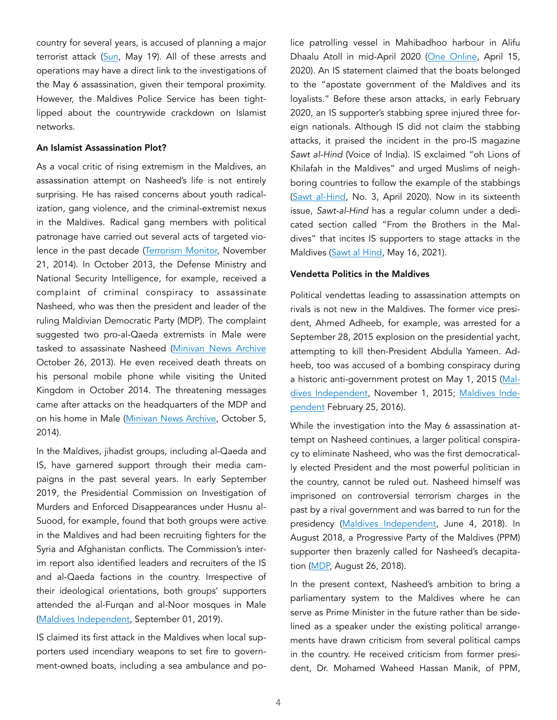country for several years, is accused of planning a major terrorist attack [\(Sun](https://en.sun.mv/66792), May 19). All of these arrests and operations may have a direct link to the investigations of the May 6 assassination, given their temporal proximity. However, the Maldives Police Service has been tightlipped about the countrywide crackdown on Islamist networks.

#### An Islamist Assassination Plot?

As a vocal critic of rising extremism in the Maldives, an assassination attempt on Nasheed's life is not entirely surprising. He has raised concerns about youth radicalization, gang violence, and the criminal-extremist nexus in the Maldives. Radical gang members with political patronage have carried out several acts of targeted violence in the past decade [\(Terrorism Monitor,](https://jamestown.org/program/the-maldives-syria-connection-jihad-in-paradise/) November 21, 2014). In October 2013, the Defense Ministry and National Security Intelligence, for example, received a complaint of criminal conspiracy to assassinate Nasheed, who was then the president and leader of the ruling Maldivian Democratic Party (MDP). The complaint suggested two pro-al-Qaeda extremists in Male were tasked to assassinate Nasheed [\(Minivan News Archive](https://minivannewsarchive.com/politics/defence-ministry-alerted-to-possible-threat-to-former-president-nasheeds-life-69820) October 26, 2013). He even received death threats on his personal mobile phone while visiting the United Kingdom in October 2014. The threatening messages came after attacks on the headquarters of the MDP and on his home in Male [\(Minivan News Archive,](https://minivannewsarchive.com/politics/uk-police-to-investigate-death-threat-sent-to-former-president-nasheed-90365) October 5, 2014).

In the Maldives, jihadist groups, including al-Qaeda and IS, have garnered support through their media campaigns in the past several years. In early September 2019, the Presidential Commission on Investigation of Murders and Enforced Disappearances under Husnu al-Suood, for example, found that both groups were active in the Maldives and had been recruiting fighters for the Syria and Afghanistan conflicts. The Commission's interim report also identified leaders and recruiters of the IS and al-Qaeda factions in the country. Irrespective of their ideological orientations, both groups' supporters attended the al-Furqan and al-Noor mosques in Male ([Maldives Independent,](https://maldivesindependent.com/crime-2/rilwan-killed-by-maldives-group-linked-to-al-qaeda-presidential-commission-reveals-147705) September 01, 2019).

IS claimed its first attack in the Maldives when local supporters used incendiary weapons to set fire to government-owned boats, including a sea ambulance and police patrolling vessel in Mahibadhoo harbour in Alifu Dhaalu Atoll in mid-April 2020 [\(One Online](https://oneonline.mv/en/25114.), April 15, 2020). An IS statement claimed that the boats belonged to the "apostate government of the Maldives and its loyalists." Before these arson attacks, in early February 2020, an IS supporter's stabbing spree injured three foreign nationals. Although IS did not claim the stabbing attacks, it praised the incident in the pro-IS magazine *Sawt al-Hind* (Voice of India). IS exclaimed "oh Lions of Khilafah in the Maldives" and urged Muslims of neighboring countries to follow the example of the stabbings ([Sawt al-Hind,](https://jihadology.net/2020/04/22/new-issue-of-the-magazine-) No. 3, April 2020). Now in its sixteenth issue, *Sawt-al-Hind* has a regular column under a dedicated section called "From the Brothers in the Maldives" that incites IS supporters to stage attacks in the Maldives [\(Sawt al Hind](https://ia801505.us.archive.org/21/items/issue-16/issue%2016.pdf), May 16, 2021).

#### Vendetta Politics in the Maldives

Political vendettas leading to assassination attempts on rivals is not new in the Maldives. The former vice president, Ahmed Adheeb, for example, was arrested for a September 28, 2015 explosion on the presidential yacht, attempting to kill then-President Abdulla Yameen. Adheeb, too was accused of a bombing conspiracy during a historic anti-government protest on May 1, 2015 [\(Mal](https://maldivesindependent.com/politics/hunt-declared-for-eight-suspects-in-boat-blast-probe-119174)[dives Independent](https://maldivesindependent.com/politics/hunt-declared-for-eight-suspects-in-boat-blast-probe-119174), November 1, 2015; [Maldives Inde](https://maldivesindependent.com/politics/hunt-declared-for-eight-suspects-in-boat-blast-probe-119174)[pendent](https://maldivesindependent.com/politics/hunt-declared-for-eight-suspects-in-boat-blast-probe-119174) February 25, 2016).

While the investigation into the May 6 assassination attempt on Nasheed continues, a larger political conspiracy to eliminate Nasheed, who was the first democratically elected President and the most powerful politician in the country, cannot be ruled out. Nasheed himself was imprisoned on controversial terrorism charges in the past by a rival government and was barred to run for the presidency [\(Maldives Independent,](https://maldivesindependent.com/politics/support-for-ibu-if-nasheed-barred-from-election-138646) June 4, 2018). In August 2018, a Progressive Party of the Maldives (PPM) supporter then brazenly called for Nasheed's decapitation ([MDP,](https://mdp.org.mv/archives/77127) August 26, 2018).

In the present context, Nasheed's ambition to bring a parliamentary system to the Maldives where he can serve as Prime Minister in the future rather than be sidelined as a speaker under the existing political arrangements have drawn criticism from several political camps in the country. He received criticism from former president, Dr. Mohamed Waheed Hassan Manik, of PPM,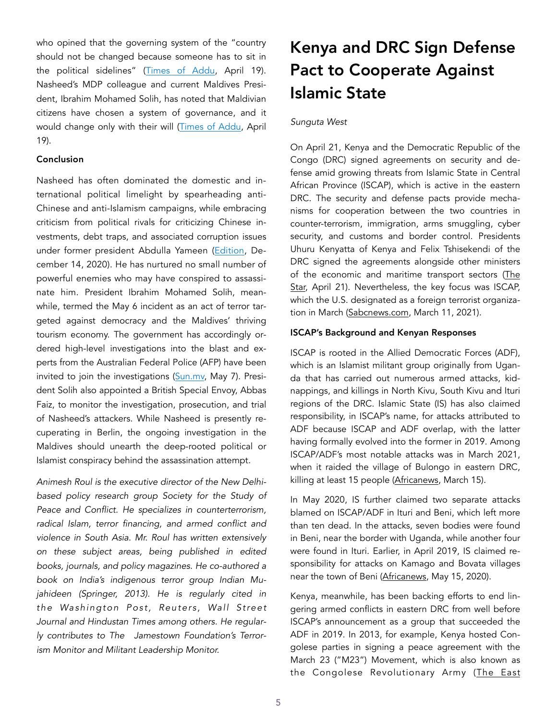who opined that the governing system of the "country should not be changed because someone has to sit in the political sidelines" [\(Times of Addu](https://timesofaddu.com/2021/04/19/governing-system-should-not-be-changed-because-someone-has-to-stay-on-sidelines-dr-waheed/), April 19). Nasheed's MDP colleague and current Maldives President, Ibrahim Mohamed Solih, has noted that Maldivian citizens have chosen a system of governance, and it would change only with their will [\(Times of Addu,](https://timesofaddu.com/2021/04/19/nasheed-informs-president-solih-of-his-interest-to-become-prime-minister/) April 19).

#### Conclusion

Nasheed has often dominated the domestic and international political limelight by spearheading anti-Chinese and anti-Islamism campaigns, while embracing criticism from political rivals for criticizing Chinese investments, debt traps, and associated corruption issues under former president Abdulla Yameen ([Edition,](https://edition.mv/news/13948) December 14, 2020). He has nurtured no small number of powerful enemies who may have conspired to assassinate him. President Ibrahim Mohamed Solih, meanwhile, termed the May 6 incident as an act of terror targeted against democracy and the Maldives' thriving tourism economy. The government has accordingly ordered high-level investigations into the blast and experts from the Australian Federal Police (AFP) have been invited to join the investigations ([Sun.mv,](https://en.sun.mv/66569) May 7). President Solih also appointed a British Special Envoy, Abbas Faiz, to monitor the investigation, prosecution, and trial of Nasheed's attackers. While Nasheed is presently recuperating in Berlin, the ongoing investigation in the Maldives should unearth the deep-rooted political or Islamist conspiracy behind the assassination attempt.

*Animesh Roul is the executive director of the New Delhibased policy research group [Society for the Study of](http://www.sspconline.org/)  [Peace and Conflict](http://www.sspconline.org/). He specializes in counterterrorism, radical Islam, terror financing, and armed conflict and violence in South Asia. Mr. Roul has written extensively on these subject areas, being published in edited books, journals, and policy magazines. He co-authored a book on India's indigenous terror group Indian Mujahideen (Springer, 2013). He is regularly cited in the Washington Post, Reuters, Wall Street Journal and Hindustan Times among others. He regularly contributes to The Jamestown Foundation's Terrorism Monitor and Militant Leadership Monitor.*

## Kenya and DRC Sign Defense Pact to Cooperate Against Islamic State

#### *Sunguta West*

On April 21, Kenya and the Democratic Republic of the Congo (DRC) signed agreements on security and defense amid growing threats from Islamic State in Central African Province (ISCAP), which is active in the eastern DRC. The security and defense pacts provide mechanisms for cooperation between the two countries in counter-terrorism, immigration, arms smuggling, cyber security, and customs and border control. Presidents Uhuru Kenyatta of Kenya and Felix Tshisekendi of the DRC signed the agreements alongside other ministers of the economic and maritime transport sectors [\(The](https://www.the-star.co.ke/news/2021-04-21-kenya-drc-sign-security-maritime-transport-deals/%22%20%5Cl%20%22inbox/_blank%22%20%5Ct%20%22https://mail.google.com/mail/u/4/) [Star,](https://www.the-star.co.ke/news/2021-04-21-kenya-drc-sign-security-maritime-transport-deals/%22%20%5Cl%20%22inbox/_blank%22%20%5Ct%20%22https://mail.google.com/mail/u/4/) April 21). Nevertheless, the key focus was ISCAP, which the U.S. designated as a foreign terrorist organization in March [\(Sabcnews.com](https://www.sabcnews.com/sabcnews/us-blacklists-groups-in-congo-mozambique-over-islamic-state-links/%22%20%5Cl%20%22inbox/_blank%22%20%5Ct%20%22https://mail.google.com/mail/u/4/), March 11, 2021).

#### ISCAP's Background and Kenyan Responses

ISCAP is rooted in the Allied Democratic Forces (ADF), which is an Islamist militant group originally from Uganda that has carried out numerous armed attacks, kidnappings, and killings in North Kivu, South Kivu and Ituri regions of the DRC. Islamic State (IS) has also claimed responsibility, in ISCAP's name, for attacks attributed to ADF because ISCAP and ADF overlap, with the latter having formally evolved into the former in 2019. Among ISCAP/ADF's most notable attacks was in March 2021, when it raided the village of Bulongo in eastern DRC, killing at least 15 people ([Africanews](https://www.africanews.com/2021/03/15/dr-congo-at-least-15-killed-in-attack-on-villagers/%22%20%5Ct%20%22https://mail.google.com/mail/u/4/%22%20%5Cl%20%22inbox/_blank), March 15).

In May 2020, IS further claimed two separate attacks blamed on ISCAP/ADF in Ituri and Beni, which left more than ten dead. In the attacks, seven bodies were found in Beni, near the border with Uganda, while another four were found in Ituri. Earlier, in April 2019, IS claimed responsibility for attacks on Kamago and Bovata villages near the town of Beni ([Africanews,](https://www.africanews.com/2020/05/15/about-a-dozen-civilians-killed-in-eastern-drc/%22%20%5Ct%20%22https://mail.google.com/mail/u/4/%22%20%5Cl%20%22inbox/_blank) May 15, 2020).

Kenya, meanwhile, has been backing efforts to end lingering armed conflicts in eastern DRC from well before ISCAP's announcement as a group that succeeded the ADF in 2019. In 2013, for example, Kenya hosted Congolese parties in signing a peace agreement with the March 23 ("M23") Movement, which is also known as the Congolese Revolutionary Army ([The East](https://www.theeastafrican.co.ke/tea/news/east-africa/kenya-drc-sign-deals-on-security-trade-and-transport--3372046%22%20%5Cl%20%22inbox/_blank%22%20%5Ct%20%22https://mail.google.com/mail/u/4/)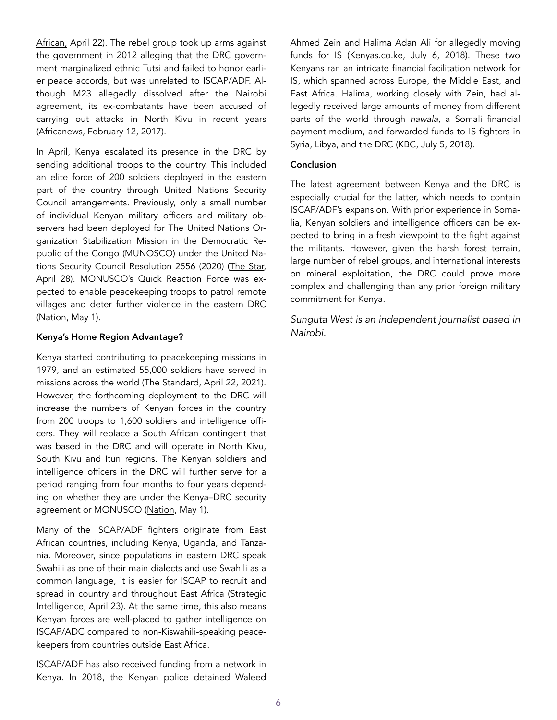[African,](https://www.theeastafrican.co.ke/tea/news/east-africa/kenya-drc-sign-deals-on-security-trade-and-transport--3372046%22%20%5Cl%20%22inbox/_blank%22%20%5Ct%20%22https://mail.google.com/mail/u/4/) April 22). The rebel group took up arms against the government in 2012 alleging that the DRC government marginalized ethnic Tutsi and failed to honor earlier peace accords, but was unrelated to ISCAP/ADF. Although M23 allegedly dissolved after the Nairobi agreement, its ex-combatants have been accused of carrying out attacks in North Kivu in recent years ([Africanews,](https://www.africanews.com/2017/02/12/former-m23-fighters-seek-safe-return-to-dr-congo/) February 12, 2017).

In April, Kenya escalated its presence in the DRC by sending additional troops to the country. This included an elite force of 200 soldiers deployed in the eastern part of the country through United Nations Security Council arrangements. Previously, only a small number of individual Kenyan military officers and military observers had been deployed for The United Nations Organization Stabilization Mission in the Democratic Republic of the Congo (MUNOSCO) under the United Nations Security Council Resolution 2556 (2020) ([The Star,](https://www.the-star.co.ke/news/2021-04-28-kenyan-troops-complete-training-ahead-of-drc-deployment/%22%20%5Cl%20%22inbox/_blank%22%20%5Ct%20%22https://mail.google.com/mail/u/4/) April 28). MONUSCO's Quick Reaction Force was expected to enable peacekeeping troops to patrol remote villages and deter further violence in the eastern DRC ([Nation,](https://nation.africa/kenya/news/inside-kenya-s-plan-to-deploy-military-to-the-dr-congo-3383586%22%20%5Cl%20%22inbox/_blank%22%20%5Ct%20%22https://mail.google.com/mail/u/4/) May 1).

#### Kenya's Home Region Advantage?

Kenya started contributing to peacekeeping missions in 1979, and an estimated 55,000 soldiers have served in missions across the world ([The Standard,](https://www.standardmedia.co.ke/kenya/article/2001410555/kenya-to-send-more-peacekeeping-troops-to-drc%22%20%5Cl%20%22inbox/_blank%22%20%5Ct%20%22https://mail.google.com/mail/u/4/) April 22, 2021). However, the forthcoming deployment to the DRC will increase the numbers of Kenyan forces in the country from 200 troops to 1,600 soldiers and intelligence officers. They will replace a South African contingent that was based in the DRC and will operate in North Kivu, South Kivu and Ituri regions. The Kenyan soldiers and intelligence officers in the DRC will further serve for a period ranging from four months to four years depending on whether they are under the Kenya–DRC security agreement or MONUSCO ([Nation,](https://nation.africa/kenya/news/inside-kenya-s-plan-to-deploy-military-to-the-dr-congo-3383586%22%20%5Cl%20%22inbox/_blank%22%20%5Ct%20%22https://mail.google.com/mail/u/4/) May 1).

Many of the ISCAP/ADF fighters originate from East African countries, including Kenya, Uganda, and Tanzania. Moreover, since populations in eastern DRC speak Swahili as one of their main dialects and use Swahili as a common language, it is easier for ISCAP to recruit and spread in country and throughout East Africa (Strategic [Intelligence,](https://intelligencebriefs.com/kenya-and-drc-sign-defense-cooperation-deal-to-aid-in-fight-against-iscap-as-kenya-send-200-peacekeepers-to-munosco/%22%20%5Cl%20%22inbox/_blank%22%20%5Ct%20%22https://mail.google.com/mail/u/4/) April 23). At the same time, this also means Kenyan forces are well-placed to gather intelligence on ISCAP/ADC compared to non-Kiswahili-speaking peacekeepers from countries outside East Africa.

ISCAP/ADF has also received funding from a network in Kenya. In 2018, the Kenyan police detained Waleed Ahmed Zein and Halima Adan Ali for allegedly moving funds for IS ([Kenyas.co.ke,](https://www.kenyans.co.ke/news/31100-islamic-state-isis-leaders-arrested-kenya) July 6, 2018). These two Kenyans ran an intricate financial facilitation network for IS, which spanned across Europe, the Middle East, and East Africa. Halima, working closely with Zein, had allegedly received large amounts of money from different parts of the world through *hawala*, a Somali financial payment medium, and forwarded funds to IS fighters in Syria, Libya, and the DRC ([KBC,](https://www.kbc.co.ke/police-arrest-duo-involved-in-terrorism-facilitation-for-isis/%22%20%5Cl%20%22inbox/_blank%22%20%5Ct%20%22https://mail.google.com/mail/u/4/) July 5, 2018).

### Conclusion

The latest agreement between Kenya and the DRC is especially crucial for the latter, which needs to contain ISCAP/ADF's expansion. With prior experience in Somalia, Kenyan soldiers and intelligence officers can be expected to bring in a fresh viewpoint to the fight against the militants. However, given the harsh forest terrain, large number of rebel groups, and international interests on mineral exploitation, the DRC could prove more complex and challenging than any prior foreign military commitment for Kenya.

*Sunguta West is an independent journalist based in Nairobi.*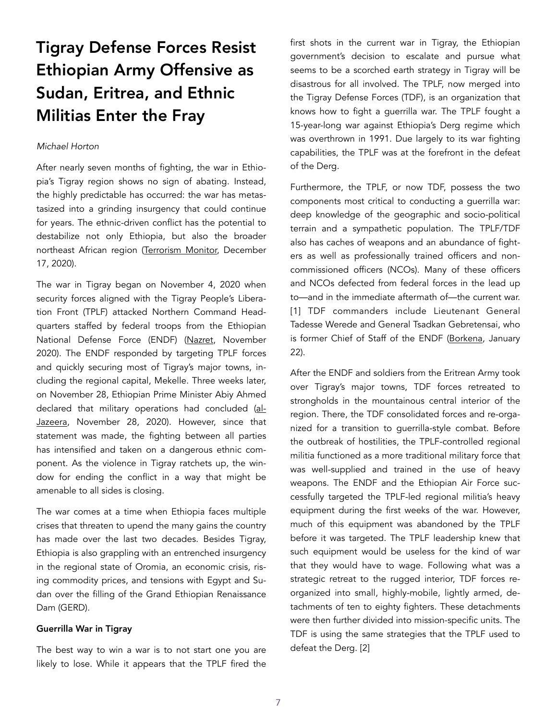# Tigray Defense Forces Resist Ethiopian Army Offensive as Sudan, Eritrea, and Ethnic Militias Enter the Fray

#### *Michael Horton*

After nearly seven months of fighting, the war in Ethiopia's Tigray region shows no sign of abating. Instead, the highly predictable has occurred: the war has metastasized into a grinding insurgency that could continue for years. The ethnic-driven conflict has the potential to destabilize not only Ethiopia, but also the broader northeast African region [\(Terrorism Monitor,](https://jamestown.org/program/how-war-in-ethiopia-impacts-red-sea-and-horn-of-africa-power-politics-the-battle-in-tigray-and-beyond/) December 17, 2020).

The war in Tigray began on November 4, 2020 when security forces aligned with the Tigray People's Liberation Front (TPLF) attacked Northern Command Headquarters staffed by federal troops from the Ethiopian National Defense Force (ENDF) [\(Nazret,](https://www.nazret.com/2020/11/04/ethiopia-nears-war-as-pm-orders-military-into-defiant-region/comment-page-1/) November 2020). The ENDF responded by targeting TPLF forces and quickly securing most of Tigray's major towns, including the regional capital, Mekelle. Three weeks later, on November 28, Ethiopian Prime Minister Abiy Ahmed declared that military operations had concluded ([al-](https://www.aljazeera.com/news/2020/11/28/ethiopian-army-takes-full-control-of-tigray-capital-abiy-says)[Jazeera,](https://www.aljazeera.com/news/2020/11/28/ethiopian-army-takes-full-control-of-tigray-capital-abiy-says) November 28, 2020). However, since that statement was made, the fighting between all parties has intensified and taken on a dangerous ethnic component. As the violence in Tigray ratchets up, the window for ending the conflict in a way that might be amenable to all sides is closing.

The war comes at a time when Ethiopia faces multiple crises that threaten to upend the many gains the country has made over the last two decades. Besides Tigray, Ethiopia is also grappling with an entrenched insurgency in the regional state of Oromia, an economic crisis, rising commodity prices, and tensions with Egypt and Sudan over the filling of the Grand Ethiopian Renaissance Dam (GERD).

### Guerrilla War in Tigray

The best way to win a war is to not start one you are likely to lose. While it appears that the TPLF fired the first shots in the current war in Tigray, the Ethiopian government's decision to escalate and pursue what seems to be a scorched earth strategy in Tigray will be disastrous for all involved. The TPLF, now merged into the Tigray Defense Forces (TDF), is an organization that knows how to fight a guerrilla war. The TPLF fought a 15-year-long war against Ethiopia's Derg regime which was overthrown in 1991. Due largely to its war fighting capabilities, the TPLF was at the forefront in the defeat of the Derg.

Furthermore, the TPLF, or now TDF, possess the two components most critical to conducting a guerrilla war: deep knowledge of the geographic and socio-political terrain and a sympathetic population. The TPLF/TDF also has caches of weapons and an abundance of fighters as well as professionally trained officers and noncommissioned officers (NCOs). Many of these officers and NCOs defected from federal forces in the lead up to—and in the immediate aftermath of—the current war. [1] TDF commanders include Lieutenant General Tadesse Werede and General Tsadkan Gebretensai, who is former Chief of Staff of the ENDF ([Borkena,](https://borkena.com/2021/01/22/tsadkan-gebretensae-general-tadesse-worede-reportedly-under-siege/) January 22).

After the ENDF and soldiers from the Eritrean Army took over Tigray's major towns, TDF forces retreated to strongholds in the mountainous central interior of the region. There, the TDF consolidated forces and re-organized for a transition to guerrilla-style combat. Before the outbreak of hostilities, the TPLF-controlled regional militia functioned as a more traditional military force that was well-supplied and trained in the use of heavy weapons. The ENDF and the Ethiopian Air Force successfully targeted the TPLF-led regional militia's heavy equipment during the first weeks of the war. However, much of this equipment was abandoned by the TPLF before it was targeted. The TPLF leadership knew that such equipment would be useless for the kind of war that they would have to wage. Following what was a strategic retreat to the rugged interior, TDF forces reorganized into small, highly-mobile, lightly armed, detachments of ten to eighty fighters. These detachments were then further divided into mission-specific units. The TDF is using the same strategies that the TPLF used to defeat the Derg. [2]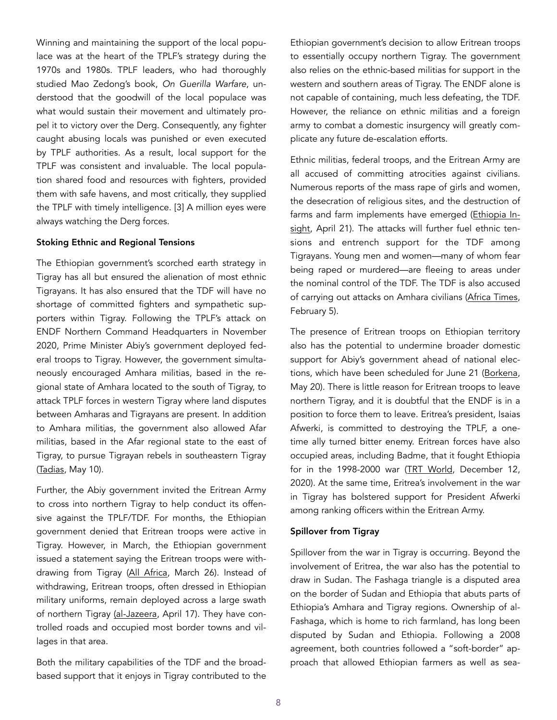Winning and maintaining the support of the local populace was at the heart of the TPLF's strategy during the 1970s and 1980s. TPLF leaders, who had thoroughly studied Mao Zedong's book, *On Guerilla Warfare*, understood that the goodwill of the local populace was what would sustain their movement and ultimately propel it to victory over the Derg. Consequently, any fighter caught abusing locals was punished or even executed by TPLF authorities. As a result, local support for the TPLF was consistent and invaluable. The local population shared food and resources with fighters, provided them with safe havens, and most critically, they supplied the TPLF with timely intelligence. [3] A million eyes were always watching the Derg forces.

#### Stoking Ethnic and Regional Tensions

The Ethiopian government's scorched earth strategy in Tigray has all but ensured the alienation of most ethnic Tigrayans. It has also ensured that the TDF will have no shortage of committed fighters and sympathetic supporters within Tigray. Following the TPLF's attack on ENDF Northern Command Headquarters in November 2020, Prime Minister Abiy's government deployed federal troops to Tigray. However, the government simultaneously encouraged Amhara militias, based in the regional state of Amhara located to the south of Tigray, to attack TPLF forces in western Tigray where land disputes between Amharas and Tigrayans are present. In addition to Amhara militias, the government also allowed Afar militias, based in the Afar regional state to the east of Tigray, to pursue Tigrayan rebels in southeastern Tigray ([Tadias](http://www.tadias.com/05/10/2021/opinion-what-ethiopia-needs-is-less-not-more-ethno-nationalism/), May 10).

Further, the Abiy government invited the Eritrean Army to cross into northern Tigray to help conduct its offensive against the TPLF/TDF. For months, the Ethiopian government denied that Eritrean troops were active in Tigray. However, in March, the Ethiopian government issued a statement saying the Eritrean troops were withdrawing from Tigray ([All Africa](https://allafrica.com/stories/202103260778.html), March 26). Instead of withdrawing, Eritrean troops, often dressed in Ethiopian military uniforms, remain deployed across a large swath of northern Tigray [\(al-Jazeera,](https://www.aljazeera.com/news/2021/4/17/eritrea-confirms-its-troops-are-fighting-ethiopias-tigray) April 17). They have controlled roads and occupied most border towns and villages in that area.

Both the military capabilities of the TDF and the broadbased support that it enjoys in Tigray contributed to the

Ethiopian government's decision to allow Eritrean troops to essentially occupy northern Tigray. The government also relies on the ethnic-based militias for support in the western and southern areas of Tigray. The ENDF alone is not capable of containing, much less defeating, the TDF. However, the reliance on ethnic militias and a foreign army to combat a domestic insurgency will greatly complicate any future de-escalation efforts.

Ethnic militias, federal troops, and the Eritrean Army are all accused of committing atrocities against civilians. Numerous reports of the mass rape of girls and women, the desecration of religious sites, and the destruction of farms and farm implements have emerged ([Ethiopia In](https://www.ethiopia-insight.com/2021/04/21/reasons-the-international-community-is-unable-to-end-the-war-in-tigray/)[sight,](https://www.ethiopia-insight.com/2021/04/21/reasons-the-international-community-is-unable-to-end-the-war-in-tigray/) April 21). The attacks will further fuel ethnic tensions and entrench support for the TDF among Tigrayans. Young men and women—many of whom fear being raped or murdered—are fleeing to areas under the nominal control of the TDF. The TDF is also accused of carrying out attacks on Amhara civilians [\(Africa Times](https://africatimes.com/2021/02/05/ethiopia-says-100s-of-rogue-military-tplf-members-face-arrest/), February 5).

The presence of Eritrean troops on Ethiopian territory also has the potential to undermine broader domestic support for Abiy's government ahead of national elec-tions, which have been scheduled for June 21 ([Borkena](https://borkena.com/2021/05/20/election-day-ethiopia-announced-voter-registration-not-completed/), May 20). There is little reason for Eritrean troops to leave northern Tigray, and it is doubtful that the ENDF is in a position to force them to leave. Eritrea's president, Isaias Afwerki, is committed to destroying the TPLF, a onetime ally turned bitter enemy. Eritrean forces have also occupied areas, including Badme, that it fought Ethiopia for in the 1998-2000 war ([TRT World](https://www.trtworld.com/magazine/us-urges-eritrean-troops-to-withdraw-from-ethiopia-s-tigray-region-42303), December 12, 2020). At the same time, Eritrea's involvement in the war in Tigray has bolstered support for President Afwerki among ranking officers within the Eritrean Army.

#### Spillover from Tigray

Spillover from the war in Tigray is occurring. Beyond the involvement of Eritrea, the war also has the potential to draw in Sudan. The Fashaga triangle is a disputed area on the border of Sudan and Ethiopia that abuts parts of Ethiopia's Amhara and Tigray regions. Ownership of al-Fashaga, which is home to rich farmland, has long been disputed by Sudan and Ethiopia. Following a 2008 agreement, both countries followed a "soft-border" approach that allowed Ethiopian farmers as well as sea